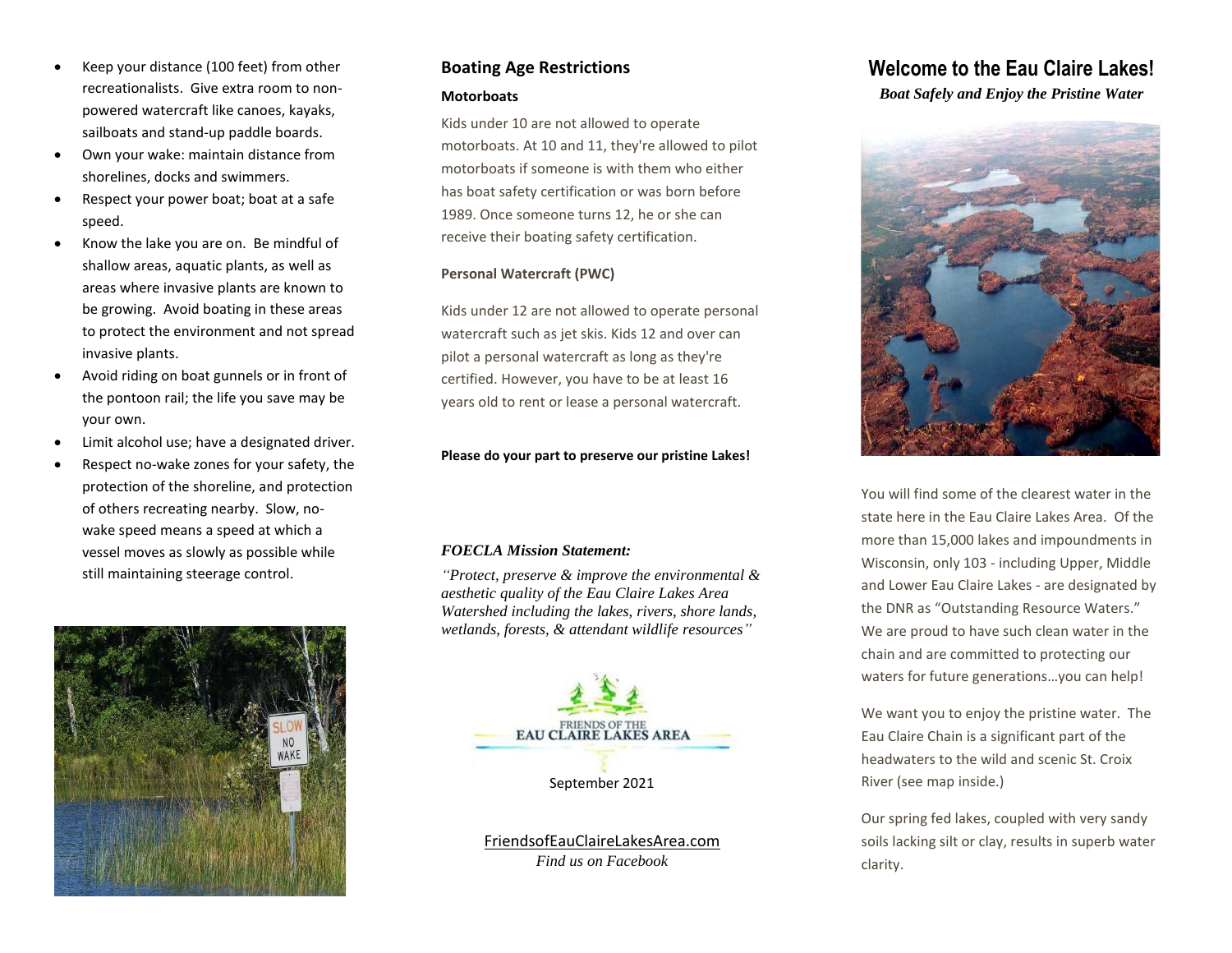- Keep your distance (100 feet) from other recreationalists. Give extra room to nonpowered watercraft like canoes, kayaks, sailboats and stand-up paddle boards.
- Own your wake: maintain distance from shorelines, docks and swimmers.
- Respect your power boat; boat at a safe speed.
- Know the lake you are on. Be mindful of shallow areas, aquatic plants, as well as areas where invasive plants are known to be growing. Avoid boating in these areas to protect the environment and not spread invasive plants.
- Avoid riding on boat gunnels or in front of the pontoon rail; the life you save may be your own.
- Limit alcohol use; have a designated driver.
- Respect no-wake zones for your safety, the protection of the shoreline, and protection of others recreating nearby. Slow, nowake speed means a speed at which a vessel moves as slowly as possible while still maintaining steerage control.



## **Boating Age Restrictions**

#### **Motorboats**

Kids under 10 are not allowed to operate motorboats. At 10 and 11, they're allowed to pilot motorboats if someone is with them who either has boat safety certification or was born before 1989. Once someone turns 12, he or she can receive their boating safety certification.

#### **Personal Watercraft (PWC)**

Kids under 12 are not allowed to operate personal watercraft such as jet skis. Kids 12 and over can pilot a personal watercraft as long as they're certified. However, you have to be at least 16 years old to rent or lease a personal watercraft.

#### **Please do your part to preserve our pristine Lakes!**

#### *FOECLA Mission Statement:*

*"Protect, preserve & improve the environmental & aesthetic quality of the Eau Claire Lakes Area Watershed including the lakes, rivers, shore lands, wetlands, forests, & attendant wildlife resources"*



FriendsofEauClaireLakesArea.com *Find us on Facebook*

# **Welcome to the Eau Claire Lakes!**

#### *Boat Safely and Enjoy the Pristine Water*



You will find some of the clearest water in the state here in the Eau Claire Lakes Area. Of the more than 15,000 lakes and impoundments in Wisconsin, only 103 - including Upper, Middle and Lower Eau Claire Lakes - are designated by the DNR as "Outstanding Resource Waters." We are proud to have such clean water in the chain and are committed to protecting our waters for future generations…you can help!

We want you to enjoy the pristine water. The Eau Claire Chain is a significant part of the headwaters to the wild and scenic St. Croix River (see map inside.)

Our spring fed lakes, coupled with very sandy soils lacking silt or clay, results in superb water clarity.